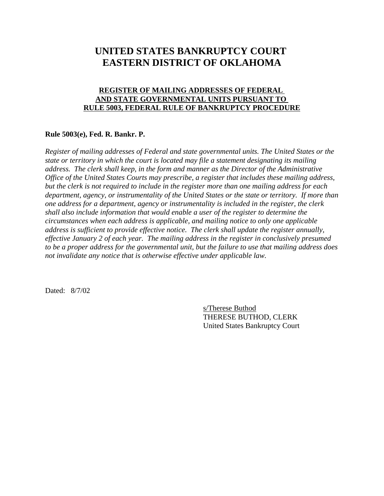## **UNITED STATES BANKRUPTCY COURT EASTERN DISTRICT OF OKLAHOMA**

## **REGISTER OF MAILING ADDRESSES OF FEDERAL AND STATE GOVERNMENTAL UNITS PURSUANT TO RULE 5003, FEDERAL RULE OF BANKRUPTCY PROCEDURE**

## **Rule 5003(e), Fed. R. Bankr. P.**

*Register of mailing addresses of Federal and state governmental units. The United States or the state or territory in which the court is located may file a statement designating its mailing address. The clerk shall keep, in the form and manner as the Director of the Administrative Office of the United States Courts may prescribe, a register that includes these mailing address, but the clerk is not required to include in the register more than one mailing address for each department, agency, or instrumentality of the United States or the state or territory. If more than one address for a department, agency or instrumentality is included in the register, the clerk shall also include information that would enable a user of the register to determine the circumstances when each address is applicable, and mailing notice to only one applicable address is sufficient to provide effective notice. The clerk shall update the register annually, effective January 2 of each year. The mailing address in the register in conclusively presumed to be a proper address for the governmental unit, but the failure to use that mailing address does not invalidate any notice that is otherwise effective under applicable law.* 

Dated: 8/7/02

s/Therese Buthod THERESE BUTHOD, CLERK United States Bankruptcy Court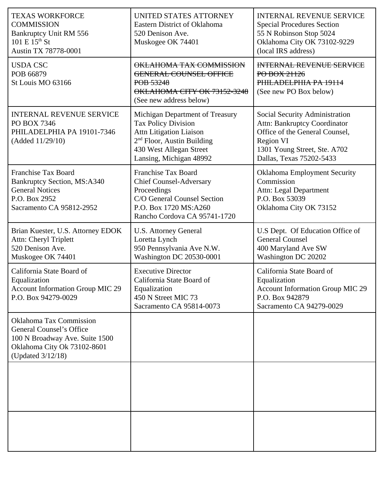| <b>TEXAS WORKFORCE</b><br><b>COMMISSION</b><br>Bankruptcy Unit RM 556<br>$101 E 15^{th}$ St<br>Austin TX 78778-0001                                     | UNITED STATES ATTORNEY<br>Eastern District of Oklahoma<br>520 Denison Ave.<br>Muskogee OK 74401                                                                                       | <b>INTERNAL REVENUE SERVICE</b><br><b>Special Procedures Section</b><br>55 N Robinson Stop 5024<br>Oklahoma City OK 73102-9229<br>(local IRS address)                            |
|---------------------------------------------------------------------------------------------------------------------------------------------------------|---------------------------------------------------------------------------------------------------------------------------------------------------------------------------------------|----------------------------------------------------------------------------------------------------------------------------------------------------------------------------------|
| <b>USDA CSC</b><br>POB 66879<br>St Louis MO 63166                                                                                                       | OKLAHOMA TAX COMMISSION<br><b>GENERAL COUNSEL OFFICE</b><br>POB 53248<br>OKLAHOMA CITY OK 73152-3248<br>(See new address below)                                                       | <b>INTERNAL REVENUE SERVICE</b><br>PO BOX 21126<br>PHILADELPHIA PA 19114<br>(See new PO Box below)                                                                               |
| <b>INTERNAL REVENUE SERVICE</b><br>PO BOX 7346<br>PHILADELPHIA PA 19101-7346<br>(Added 11/29/10)                                                        | Michigan Department of Treasury<br><b>Tax Policy Division</b><br><b>Attn Litigation Liaison</b><br>$2nd$ Floor, Austin Building<br>430 West Allegan Street<br>Lansing, Michigan 48992 | Social Security Administration<br><b>Attn: Bankruptcy Coordinator</b><br>Office of the General Counsel,<br>Region VI<br>1301 Young Street, Ste. A702<br>Dallas, Texas 75202-5433 |
| <b>Franchise Tax Board</b><br><b>Bankruptcy Section, MS:A340</b><br><b>General Notices</b><br>P.O. Box 2952<br>Sacramento CA 95812-2952                 | <b>Franchise Tax Board</b><br><b>Chief Counsel-Adversary</b><br>Proceedings<br>C/O General Counsel Section<br>P.O. Box 1720 MS:A260<br>Rancho Cordova CA 95741-1720                   | <b>Oklahoma Employment Security</b><br>Commission<br><b>Attn: Legal Department</b><br>P.O. Box 53039<br>Oklahoma City OK 73152                                                   |
| Brian Kuester, U.S. Attorney EDOK<br>Attn: Cheryl Triplett<br>520 Denison Ave.<br>Muskogee OK 74401                                                     | <b>U.S. Attorney General</b><br>Loretta Lynch<br>950 Pennsylvania Ave N.W.<br>Washington DC 20530-0001                                                                                | U.S Dept. Of Education Office of<br><b>General Counsel</b><br>400 Maryland Ave SW<br>Washington DC 20202                                                                         |
| California State Board of<br>Equalization<br><b>Account Information Group MIC 29</b><br>P.O. Box 94279-0029                                             | <b>Executive Director</b><br>California State Board of<br>Equalization<br>450 N Street MIC 73<br>Sacramento CA 95814-0073                                                             | California State Board of<br>Equalization<br><b>Account Information Group MIC 29</b><br>P.O. Box 942879<br>Sacramento CA 94279-0029                                              |
| <b>Oklahoma Tax Commission</b><br><b>General Counsel's Office</b><br>100 N Broadway Ave. Suite 1500<br>Oklahoma City Ok 73102-8601<br>(Updated 3/12/18) |                                                                                                                                                                                       |                                                                                                                                                                                  |
|                                                                                                                                                         |                                                                                                                                                                                       |                                                                                                                                                                                  |
|                                                                                                                                                         |                                                                                                                                                                                       |                                                                                                                                                                                  |